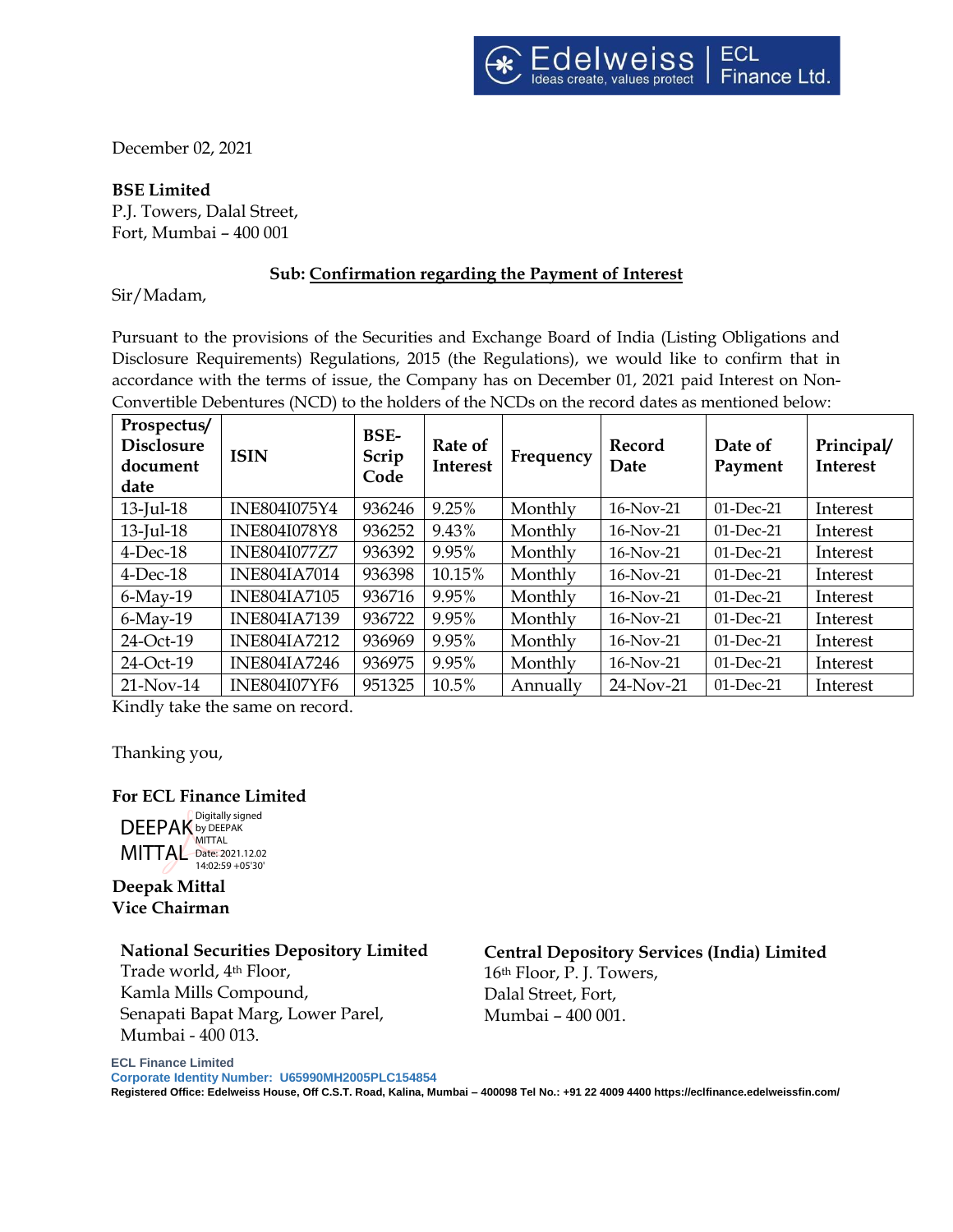December 02, 2021

### **BSE Limited**

P.J. Towers, Dalal Street, Fort, Mumbai – 400 001

### **Sub: Confirmation regarding the Payment of Interest**

Sir/Madam,

Pursuant to the provisions of the Securities and Exchange Board of India (Listing Obligations and Disclosure Requirements) Regulations, 2015 (the Regulations), we would like to confirm that in accordance with the terms of issue, the Company has on December 01, 2021 paid Interest on Non-Convertible Debentures (NCD) to the holders of the NCDs on the record dates as mentioned below:

| Prospectus/<br><b>Disclosure</b><br>document<br>date | <b>ISIN</b>         | <b>BSE-</b><br>Scrip<br>Code | Rate of<br><b>Interest</b> | Frequency | Record<br>Date | Date of<br>Payment | Principal/<br><b>Interest</b> |
|------------------------------------------------------|---------------------|------------------------------|----------------------------|-----------|----------------|--------------------|-------------------------------|
| $13$ -Jul- $18$                                      | INE804I075Y4        | 936246                       | 9.25%                      | Monthly   | 16-Nov-21      | 01-Dec-21          | Interest                      |
| $13$ -Jul- $18$                                      | <b>INE804I078Y8</b> | 936252                       | 9.43%                      | Monthly   | 16-Nov-21      | $01$ -Dec-21       | Interest                      |
| $4$ -Dec-18                                          | <b>INE804I077Z7</b> | 936392                       | 9.95%                      | Monthly   | $16$ -Nov-21   | $01$ -Dec-21       | Interest                      |
| $4$ -Dec-18                                          | <b>INE804IA7014</b> | 936398                       | 10.15%                     | Monthly   | $16-Nov-21$    | $01$ -Dec-21       | Interest                      |
| $6$ -May-19                                          | <b>INE804IA7105</b> | 936716                       | 9.95%                      | Monthly   | $16$ -Nov-21   | $01$ -Dec-21       | Interest                      |
| $6$ -May-19                                          | <b>INE804IA7139</b> | 936722                       | 9.95%                      | Monthly   | $16-Nov-21$    | $01$ -Dec-21       | Interest                      |
| 24-Oct-19                                            | <b>INE804IA7212</b> | 936969                       | 9.95%                      | Monthly   | $16-Nov-21$    | $01$ -Dec-21       | Interest                      |
| 24-Oct-19                                            | <b>INE804IA7246</b> | 936975                       | 9.95%                      | Monthly   | $16-Nov-21$    | $01$ -Dec-21       | Interest                      |
| $21-Nov-14$                                          | <b>INE804I07YF6</b> | 951325                       | 10.5%                      | Annually  | 24-Nov-21      | $01$ -Dec-21       | Interest                      |

Kindly take the same on record.

Thanking you,

### **For ECL Finance Limited**



**Deepak Mittal Vice Chairman**

**ECL Finance Limited** 

#### **National Securities Depository Limited**

Trade world, 4th Floor, Kamla Mills Compound, Senapati Bapat Marg, Lower Parel, Mumbai - 400 013.

# **Central Depository Services (India) Limited**

16th Floor, P. J. Towers, Dalal Street, Fort, Mumbai – 400 001.

**Corporate Identity Number: U65990MH2005PLC154854** 

**Registered Office: Edelweiss House, Off C.S.T. Road, Kalina, Mumbai – 400098 Tel No.: +91 22 4009 4400 https://eclfinance.edelweissfin.com/**